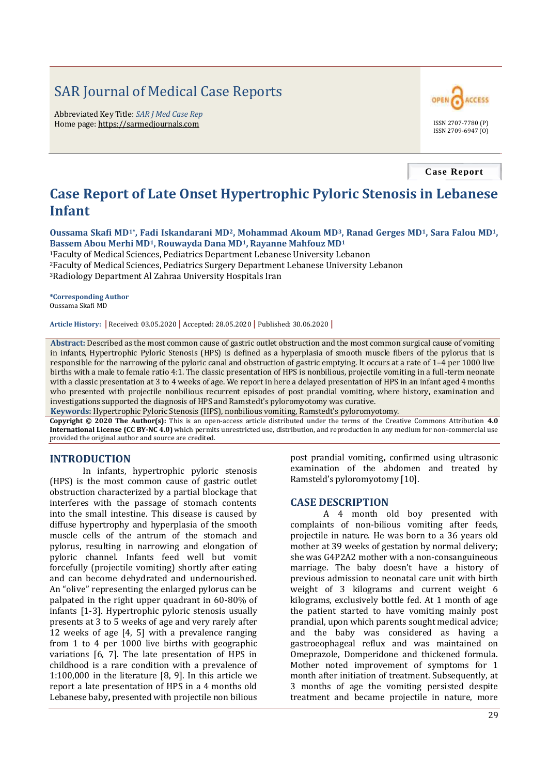# SAR Journal of Medical Case Reports

Abbreviated Key Title: *SAR J Med Case Rep* Home page: https://sarmedjournals.com ISSN 2707-7780 (P)



**Case Report**

## **Case Report of Late Onset Hypertrophic Pyloric Stenosis in Lebanese Infant**

**Oussama Skafi MD1\*, Fadi Iskandarani MD2, Mohammad Akoum MD3, Ranad Gerges MD1, Sara Falou MD1, Bassem Abou Merhi MD1, Rouwayda Dana MD1, Rayanne Mahfouz MD<sup>1</sup>**

<sup>1</sup>Faculty of Medical Sciences, Pediatrics Department Lebanese University Lebanon <sup>2</sup>Faculty of Medical Sciences, Pediatrics Surgery Department Lebanese University Lebanon <sup>3</sup>Radiology Department Al Zahraa University Hospitals Iran

**\*Corresponding Author** Oussama Skafi MD

**Article History: |** Received: 03.05.2020 **|** Accepted: 28.05.2020 **|** Published: 30.06.2020 **|**

**Abstract:** Described as the most common cause of gastric outlet obstruction and the most common surgical cause of vomiting in infants, Hypertrophic Pyloric Stenosis (HPS) is defined as a hyperplasia of smooth muscle fibers of the pylorus that is responsible for the narrowing of the pyloric canal and obstruction of gastric emptying. It occurs at a rate of 1–4 per 1000 live births with a male to female ratio 4:1. The classic presentation of HPS is nonbilious, projectile vomiting in a full-term neonate with a classic presentation at 3 to 4 weeks of age. We report in here a delayed presentation of HPS in an infant aged 4 months who presented with projectile nonbilious recurrent episodes of post prandial vomiting, where history, examination and investigations supported the diagnosis of HPS and Ramstedt's pyloromyotomy was curative.

**Keywords:** Hypertrophic Pyloric Stenosis (HPS), nonbilious vomiting, Ramstedt's pyloromyotomy.

**Copyright © 2020 The Author(s):** This is an open-access article distributed under the terms of the Creative Commons Attribution **4.0 International License (CC BY-NC 4.0)** which permits unrestricted use, distribution, and reproduction in any medium for non-commercial use provided the original author and source are credited.

## **INTRODUCTION**

In infants, hypertrophic pyloric stenosis (HPS) is the most common cause of gastric outlet obstruction characterized by a partial blockage that interferes with the passage of stomach contents into the small intestine. This disease is caused by diffuse hypertrophy and hyperplasia of the smooth muscle cells of the antrum of the stomach and pylorus, resulting in narrowing and elongation of pyloric channel. Infants feed well but vomit forcefully (projectile vomiting) shortly after eating and can become dehydrated and undernourished. An "olive" representing the enlarged pylorus can be palpated in the right upper quadrant in 60-80% of infants [1-3]. Hypertrophic pyloric stenosis usually presents at 3 to 5 weeks of age and very rarely after 12 weeks of age [4, 5] with a prevalence ranging from 1 to 4 per 1000 live births with geographic variations [6, 7]. The late presentation of HPS in childhood is a rare condition with a prevalence of 1:100,000 in the literature [8, 9]. In this article we report a late presentation of HPS in a 4 months old Lebanese baby**,** presented with projectile non bilious

post prandial vomiting**,** confirmed using ultrasonic examination of the abdomen and treated by Ramsteld's pyloromyotomy [10].

#### **CASE DESCRIPTION**

A 4 month old boy presented with complaints of non-bilious vomiting after feeds, projectile in nature. He was born to a 36 years old mother at 39 weeks of gestation by normal delivery; she was G4P2A2 mother with a non-consanguineous marriage. The baby doesn't have a history of previous admission to neonatal care unit with birth weight of 3 kilograms and current weight 6 kilograms, exclusively bottle fed. At 1 month of age the patient started to have vomiting mainly post prandial, upon which parents sought medical advice; and the baby was considered as having a gastroeophageal reflux and was maintained on Omeprazole, Domperidone and thickened formula. Mother noted improvement of symptoms for 1 month after initiation of treatment. Subsequently, at 3 months of age the vomiting persisted despite treatment and became projectile in nature, more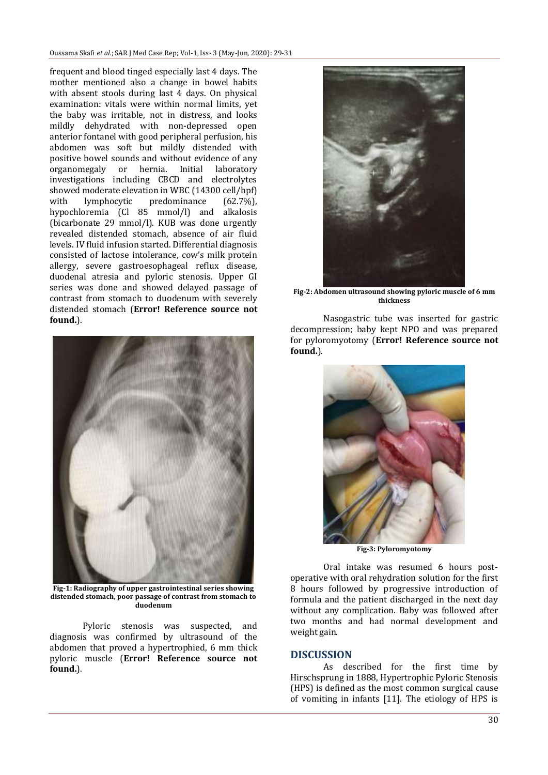frequent and blood tinged especially last 4 days. The mother mentioned also a change in bowel habits with absent stools during last 4 days. On physical examination: vitals were within normal limits, yet the baby was irritable, not in distress, and looks mildly dehydrated with non-depressed open anterior fontanel with good peripheral perfusion, his abdomen was soft but mildly distended with positive bowel sounds and without evidence of any organomegaly or hernia. Initial laboratory investigations including CBCD and electrolytes showed moderate elevation in WBC (14300 cell/hpf) with lymphocytic predominance (62.7%), hypochloremia (Cl 85 mmol/l) and alkalosis (bicarbonate 29 mmol/l). KUB was done urgently revealed distended stomach, absence of air fluid levels. IV fluid infusion started. Differential diagnosis consisted of lactose intolerance, cow's milk protein allergy, severe gastroesophageal reflux disease, duodenal atresia and pyloric stenosis. Upper GI series was done and showed delayed passage of contrast from stomach to duodenum with severely distended stomach (**Error! Reference source not found.**).



**Fig-1: Radiography of upper gastrointestinal series showing distended stomach, poor passage of contrast from stomach to duodenum**

Pyloric stenosis was suspected, and diagnosis was confirmed by ultrasound of the abdomen that proved a hypertrophied, 6 mm thick pyloric muscle (**Error! Reference source not found.**).



**Fig-2: Abdomen ultrasound showing pyloric muscle of 6 mm thickness**

Nasogastric tube was inserted for gastric decompression; baby kept NPO and was prepared for pyloromyotomy (**Error! Reference source not found.**).



**Fig-3: Pyloromyotomy**

Oral intake was resumed 6 hours postoperative with oral rehydration solution for the first 8 hours followed by progressive introduction of formula and the patient discharged in the next day without any complication. Baby was followed after two months and had normal development and weight gain.

## **DISCUSSION**

As described for the first time by Hirschsprung in 1888, Hypertrophic Pyloric Stenosis (HPS) is defined as the most common surgical cause of vomiting in infants [11]. The etiology of HPS is